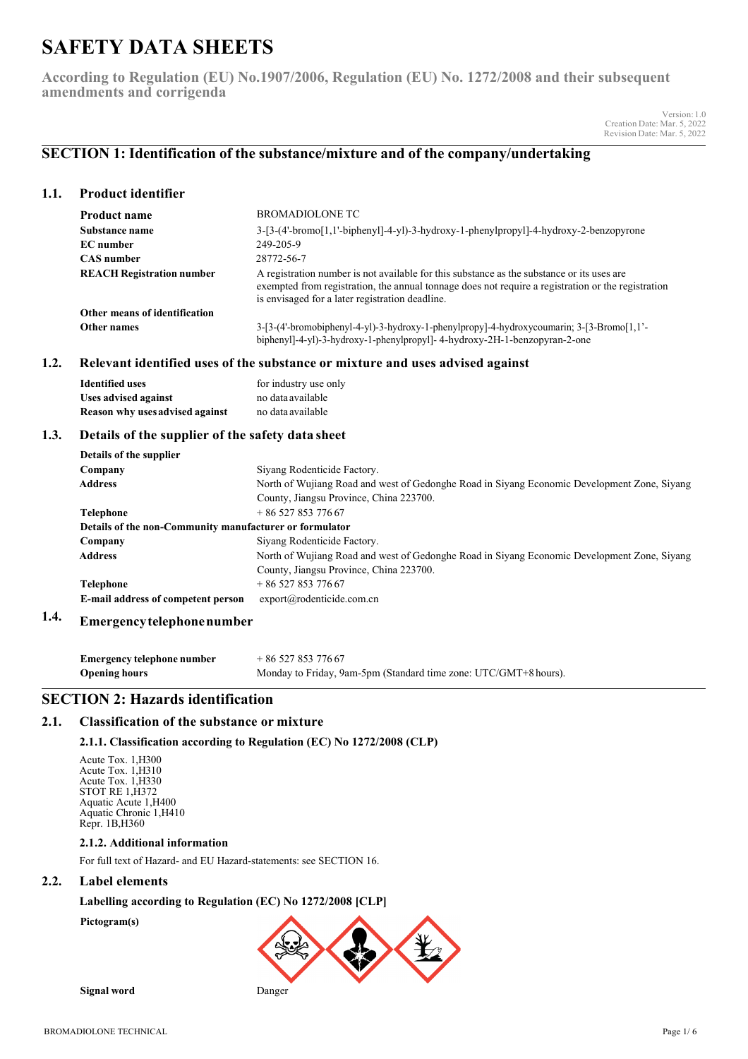# **SAFETY DATA SHEETS**

**According to Regulation (EU) No.1907/2006, Regulation (EU) No. 1272/2008 and their subsequent amendments and corrigenda**

> Version:1.0 Creation Date: Mar. 5, 2022 Revision Date: Mar. 5, 2022

# **SECTION 1: Identification of the substance/mixture and of the company/undertaking**

# **1.1. Product identifier**

| <b>Product name</b>              | BROMADIOLONE TC                                                                                                                                                                                                                                     |  |
|----------------------------------|-----------------------------------------------------------------------------------------------------------------------------------------------------------------------------------------------------------------------------------------------------|--|
| Substance name                   | $3-[3-(4'-bromo[1,1'-biphenv]]-4-v])-3-hydroxy-1-phenylpropyl]-4-hydroxy-2-benzopyrone$                                                                                                                                                             |  |
| EC number                        | 249-205-9                                                                                                                                                                                                                                           |  |
| <b>CAS</b> number                | 28772-56-7                                                                                                                                                                                                                                          |  |
| <b>REACH Registration number</b> | A registration number is not available for this substance as the substance or its uses are<br>exempted from registration, the annual tonnage does not require a registration or the registration<br>is envisaged for a later registration deadline. |  |
| Other means of identification    |                                                                                                                                                                                                                                                     |  |
| Other names                      | $3-[3-(4'-bromobiphenyl-4-yl)-3-hydroxy-1-phenylpropy]-4-hydroxycoumarin; 3-[3-Bromo[1,1'-1]$                                                                                                                                                       |  |
|                                  | biphenyl]-4-yl)-3-hydroxy-1-phenylpropyl]-4-hydroxy-2H-1-benzopyran-2-one                                                                                                                                                                           |  |

### **1.2. Relevant identified uses of the substance or mixture and uses advised against**

| Identified uses                 | for industry use only |
|---------------------------------|-----------------------|
| <b>Uses advised against</b>     | no data available     |
| Reason why uses advised against | no data available     |

# **1.3. Details of the supplier of the safety data sheet**

| Details of the supplier                                 |                                                                                             |  |  |
|---------------------------------------------------------|---------------------------------------------------------------------------------------------|--|--|
| Company                                                 | Siyang Rodenticide Factory.                                                                 |  |  |
| <b>Address</b>                                          | North of Wujiang Road and west of Gedonghe Road in Siyang Economic Development Zone, Siyang |  |  |
|                                                         | County, Jiangsu Province, China 223700.                                                     |  |  |
| <b>Telephone</b>                                        | $+8652785377667$                                                                            |  |  |
| Details of the non-Community manufacturer or formulator |                                                                                             |  |  |
| Company                                                 | Siyang Rodenticide Factory.                                                                 |  |  |
| <b>Address</b>                                          | North of Wujiang Road and west of Gedonghe Road in Siyang Economic Development Zone, Siyang |  |  |
|                                                         | County, Jiangsu Province, China 223700.                                                     |  |  |
| <b>Telephone</b>                                        | $+8652785377667$                                                                            |  |  |
| E-mail address of competent person                      | export@rodenticide.com.cn                                                                   |  |  |

#### **1.4. Emergencytelephonenumber**

**Emergency telephone number** + 86 527 853 776 67 **Opening hours** Monday to Friday, 9am-5pm (Standard time zone: UTC/GMT+8 hours).

# **SECTION 2: Hazards identification**

# **2.1. Classification of the substance or mixture**

### **2.1.1. Classification according to Regulation (EC) No 1272/2008 (CLP)**

Acute Tox. 1,H300 Acute Tox. 1,H310 Acute Tox. 1,H330 STOT RE 1,H372 Aquatic Acute 1,H400 Aquatic Chronic 1,H410 Repr. 1B,H360

### **2.1.2. Additional information**

For full text of Hazard- and EU Hazard-statements: see SECTION 16.

# **2.2. Label elements**

### **Labelling according to Regulation (EC) No 1272/2008 [CLP]**

**Pictogram(s)**



**Signal word** Danger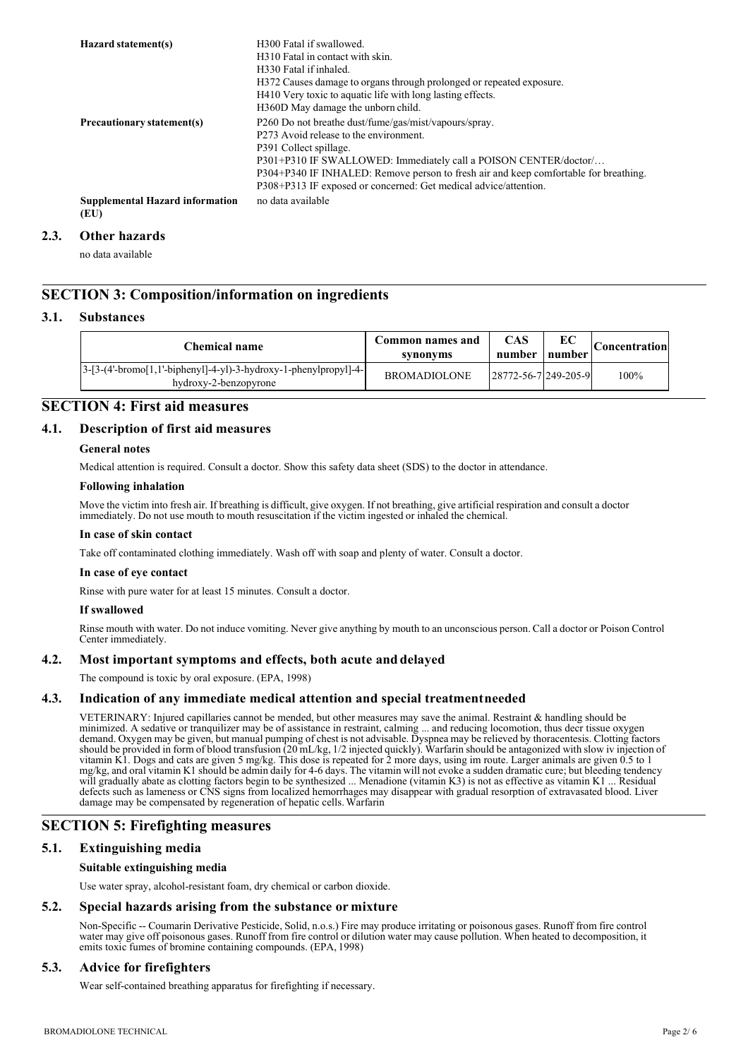| Hazard statement(s)                            | H <sub>300</sub> Fatal if swallowed.<br>H310 Fatal in contact with skin.<br>H330 Fatal if inhaled.<br>H372 Causes damage to organs through prolonged or repeated exposure.<br>H410 Very toxic to aquatic life with long lasting effects.<br>H360D May damage the unborn child.                                                                            |
|------------------------------------------------|-----------------------------------------------------------------------------------------------------------------------------------------------------------------------------------------------------------------------------------------------------------------------------------------------------------------------------------------------------------|
| Precautionary statement(s)                     | P260 Do not breathe dust/fume/gas/mist/vapours/spray.<br>P273 Avoid release to the environment.<br>P391 Collect spillage.<br>P301+P310 IF SWALLOWED: Immediately call a POISON CENTER/doctor/<br>P304+P340 IF INHALED: Remove person to fresh air and keep comfortable for breathing.<br>P308+P313 IF exposed or concerned: Get medical advice/attention. |
| <b>Supplemental Hazard information</b><br>(EU) | no data available                                                                                                                                                                                                                                                                                                                                         |

#### **2.3. Other hazards**

no data available

# **SECTION 3: Composition/information on ingredients**

### **3.1. Substances**

| Chemical name                                                                                 | Common names and<br>synonyms | CAS<br>number                    | EС<br>number | <b>Concentration</b> |
|-----------------------------------------------------------------------------------------------|------------------------------|----------------------------------|--------------|----------------------|
| $ 3-[3-(4'-bromo[1,1'-bipheny1]-4-yl)-3-hydroxy-1-phenylpropyl]-4- $<br>hydroxy-2-benzopyrone | <b>BROMADIOLONE</b>          | $ 28772 - 56 - 7 249 - 205 - 9 $ |              | 100%                 |

# **SECTION 4: First aid measures**

### **4.1. Description of first aid measures**

### **General notes**

Medical attention is required. Consult a doctor. Show this safety data sheet (SDS) to the doctor in attendance.

### **Following inhalation**

Move the victim into fresh air. If breathing is difficult, give oxygen. If not breathing, give artificial respiration and consult a doctor immediately. Do not use mouth to mouth resuscitation if the victim ingested or inhaled the chemical.

### **In case of skin contact**

Take off contaminated clothing immediately. Wash off with soap and plenty of water. Consult a doctor.

### **In case of eye contact**

Rinse with pure water for at least 15 minutes. Consult a doctor.

### **If swallowed**

Rinse mouth with water. Do not induce vomiting. Never give anything by mouth to an unconscious person. Call a doctor or Poison Control Center immediately.

### **4.2. Most important symptoms and effects, both acute and delayed**

The compound is toxic by oral exposure. (EPA, 1998)

### **4.3. Indication of any immediate medical attention and special treatmentneeded**

VETERINARY: Injured capillaries cannot be mended, but other measures may save the animal. Restraint & handling should be minimized. A sedative or tranquilizer may be of assistance in restraint, calming ... and reducing locomotion, thus decr tissue oxygen demand. Oxygen may be given, but manual pumping of chest is not advisable. Dyspnea may be relieved by thoracentesis. Clotting factors should be provided in form of blood transfusion (20 mL/kg, 1/2 injected quickly). Warfarin should be antagonized with slow iv injection of vitamin K1. Dogs and cats are given 5 mg/kg. This dose is repeated for 2 more days, using im route. Larger animals are given 0.5 to 1 mg/kg, and oral vitamin K1 should be admin daily for 4-6 days. The vitamin will not evoke a sudden dramatic cure; but bleeding tendency will gradually abate as clotting factors begin to be synthesized ... Menadione (vitamin K3) is not as effective as vitamin K1 ... Residual defects such as lameness or CNS signs from localized hemorrhages may disappear with gradual resorption of extravasated blood. Liver damage may be compensated by regeneration of hepatic cells. Warfarin

# **SECTION 5: Firefighting measures**

### **5.1. Extinguishing media**

### **Suitable extinguishing media**

Use water spray, alcohol-resistant foam, dry chemical or carbon dioxide.

### **5.2. Special hazards arising from the substance or mixture**

Non-Specific -- Coumarin Derivative Pesticide, Solid, n.o.s.) Fire may produce irritating or poisonous gases. Runoff from fire control water may give off poisonous gases. Runoff from fire control or dilution water may cause pollution. When heated to decomposition, it emits toxic fumes of bromine containing compounds. (EPA, 1998)

### **5.3. Advice for firefighters**

Wear self-contained breathing apparatus for firefighting if necessary.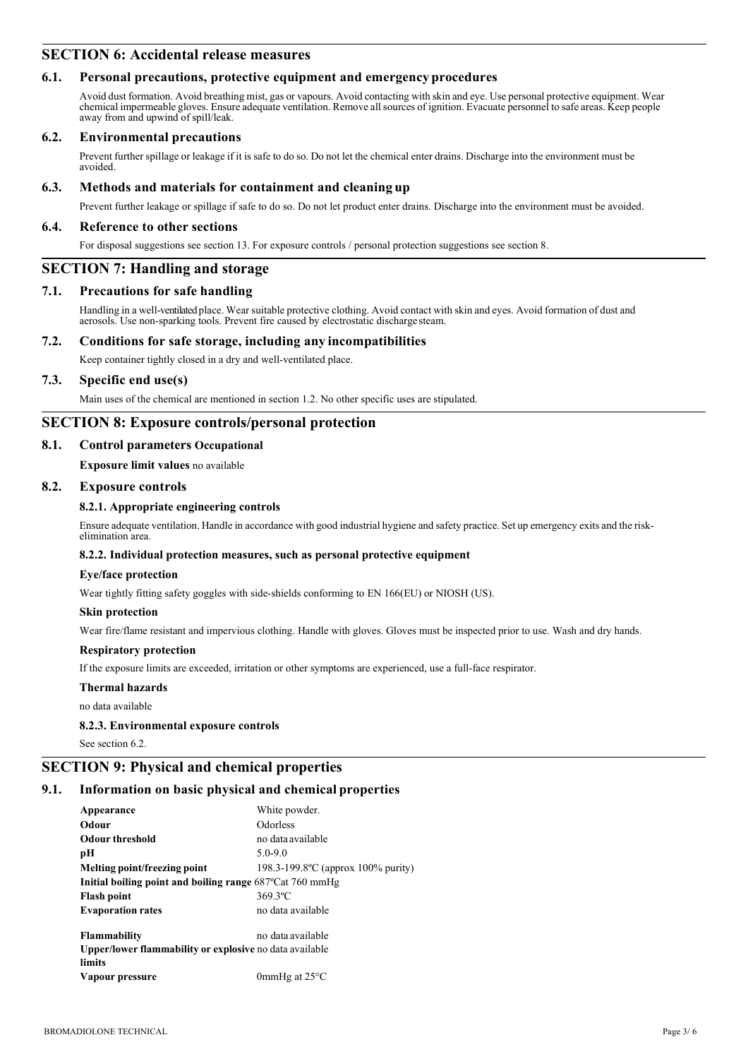# **SECTION 6: Accidental release measures**

# **6.1. Personal precautions, protective equipment and emergency procedures**

Avoid dust formation. Avoid breathing mist, gas or vapours. Avoid contacting with skin and eye. Use personal protective equipment. Wear chemical impermeable gloves. Ensure adequate ventilation. Remove allsources of ignition. Evacuate personnel to safe areas. Keep people away from and upwind of spill/leak.

### **6.2. Environmental precautions**

Prevent further spillage or leakage if it is safe to do so. Do not let the chemical enter drains. Discharge into the environment must be avoided.

# **6.3. Methods and materials for containment and cleaning up**

Prevent further leakage or spillage if safe to do so. Do not let product enter drains. Discharge into the environment must be avoided.

### **6.4. Reference to other sections**

For disposal suggestions see section 13. For exposure controls / personal protection suggestions see section 8.

# **SECTION 7: Handling and storage**

### **7.1. Precautions for safe handling**

Handling in a well-ventilated place. Wear suitable protective clothing. Avoid contact with skin and eyes. Avoid formation of dust and aerosols. Use non-sparking tools. Prevent fire caused by electrostatic discharge steam.

### **7.2. Conditions for safe storage, including any incompatibilities**

Keep container tightly closed in a dry and well-ventilated place.

### **7.3. Specific end use(s)**

Main uses of the chemical are mentioned in section 1.2. No other specific uses are stipulated.

# **SECTION 8: Exposure controls/personal protection**

### **8.1. Control parameters Occupational**

**Exposure limit values** no available

### **8.2. Exposure controls**

### **8.2.1. Appropriate engineering controls**

Ensure adequate ventilation. Handle in accordance with good industrial hygiene and safety practice. Set up emergency exits and the risk- elimination area.

### **8.2.2. Individual protection measures, such as personal protective equipment**

### **Eye/face protection**

Wear tightly fitting safety goggles with side-shields conforming to EN 166(EU) or NIOSH (US).

### **Skin protection**

Wear fire/flame resistant and impervious clothing. Handle with gloves. Gloves must be inspected prior to use. Wash and dry hands.

### **Respiratory protection**

If the exposure limits are exceeded, irritation or other symptoms are experienced, use a full-face respirator.

### **Thermal hazards**

no data available

### **8.2.3. Environmental exposure controls**

See section 6.2.

# **SECTION 9: Physical and chemical properties**

# **9.1. Information on basic physical and chemical properties**

| Appearance                                                         | White powder.                       |  |  |
|--------------------------------------------------------------------|-------------------------------------|--|--|
| Odour                                                              | <b>Odorless</b>                     |  |  |
| <b>Odour threshold</b>                                             | no data available                   |  |  |
| рH                                                                 | $5.0 - 9.0$                         |  |  |
| Melting point/freezing point                                       | 198.3-199.8 °C (approx 100% purity) |  |  |
| Initial boiling point and boiling range $687^{\circ}$ Cat 760 mmHg |                                     |  |  |
| <b>Flash point</b>                                                 | 369.3°C                             |  |  |
| <b>Evaporation rates</b>                                           | no data available                   |  |  |
| <b>Flammability</b>                                                | no data available                   |  |  |
| Upper/lower flammability or explosive no data available            |                                     |  |  |
| limits                                                             |                                     |  |  |
| Vapour pressure                                                    | 0mmHg at $25^{\circ}$ C             |  |  |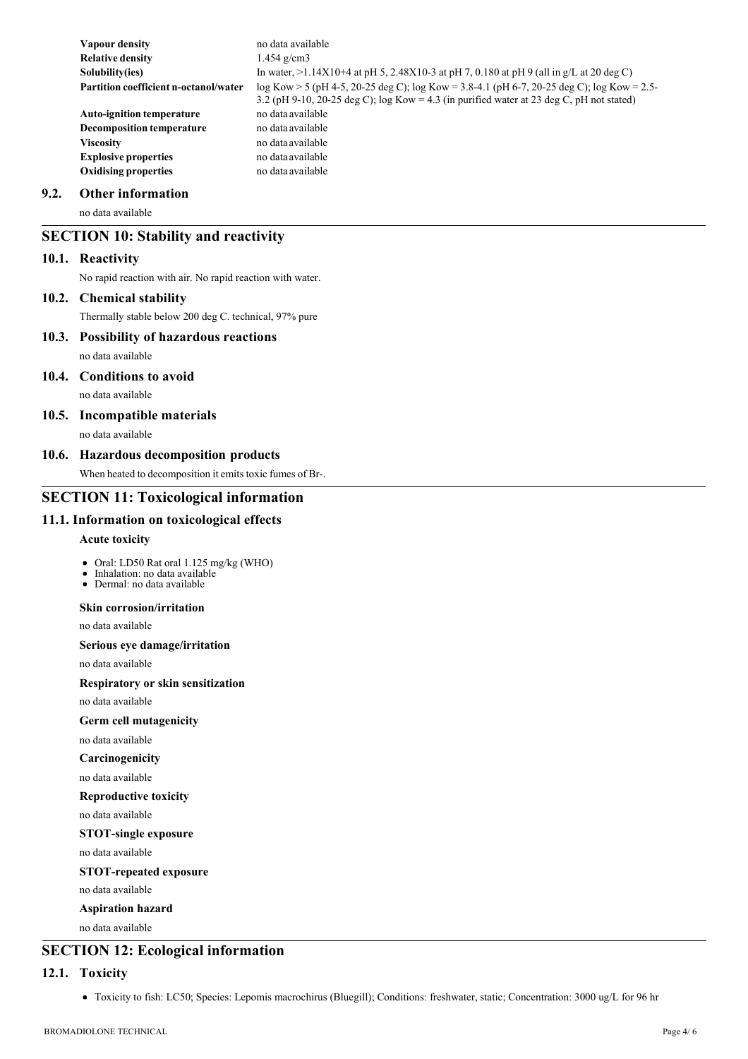| Vapour density                               | no data available                                                                                                                                                                            |
|----------------------------------------------|----------------------------------------------------------------------------------------------------------------------------------------------------------------------------------------------|
| <b>Relative density</b>                      | 1.454 $g/cm3$                                                                                                                                                                                |
| Solubility(ies)                              | In water, $>1.14X10+4$ at pH 5, 2.48X10-3 at pH 7, 0.180 at pH 9 (all in g/L at 20 deg C)                                                                                                    |
| <b>Partition coefficient n-octanol/water</b> | $log Kow > 5$ (pH 4-5, 20-25 deg C); $log Kow = 3.8-4.1$ (pH 6-7, 20-25 deg C); $log Kow = 2.5-$<br>3.2 (pH 9-10, 20-25 deg C); log Kow = 4.3 (in purified water at 23 deg C, pH not stated) |
| <b>Auto-ignition temperature</b>             | no data available                                                                                                                                                                            |
| <b>Decomposition temperature</b>             | no data available                                                                                                                                                                            |
| <b>Viscosity</b>                             | no data available                                                                                                                                                                            |
| <b>Explosive properties</b>                  | no data available                                                                                                                                                                            |
| <b>Oxidising properties</b>                  | no data available                                                                                                                                                                            |

### **9.2. Other information**

no data available

# **SECTION 10: Stability and reactivity**

### **10.1. Reactivity**

No rapid reaction with air. No rapid reaction with water.

### **10.2. Chemical stability**

Thermally stable below 200 deg C. technical, 97% pure

# **10.3. Possibility of hazardous reactions** no data available

# **10.4. Conditions to avoid**

no data available

# **10.5. Incompatible materials**

no data available

### **10.6. Hazardous decomposition products**

When heated to decomposition it emits toxic fumes of Br-.

### **SECTION 11: Toxicological information**

# **11.1. Information on toxicological effects**

### **Acute toxicity**

- Oral: LD50 Rat oral 1.125 mg/kg (WHO)
- Inhalation: no data available Dermal: no data available

# **Skin corrosion/irritation**

no data available

### **Serious eye damage/irritation**

no data available

**Respiratory or skin sensitization**

no data available

# **Germ cell mutagenicity**

no data available

### **Carcinogenicity**

no data available

**Reproductive toxicity** 

no data available

# **STOT-single exposure**

no data available

### **STOT-repeated exposure**

no data available

# **Aspiration hazard**

no data available

# **SECTION 12: Ecological information**

### **12.1. Toxicity**

Toxicity to fish: LC50; Species: Lepomis macrochirus (Bluegill); Conditions: freshwater, static; Concentration: 3000 ug/L for 96 hr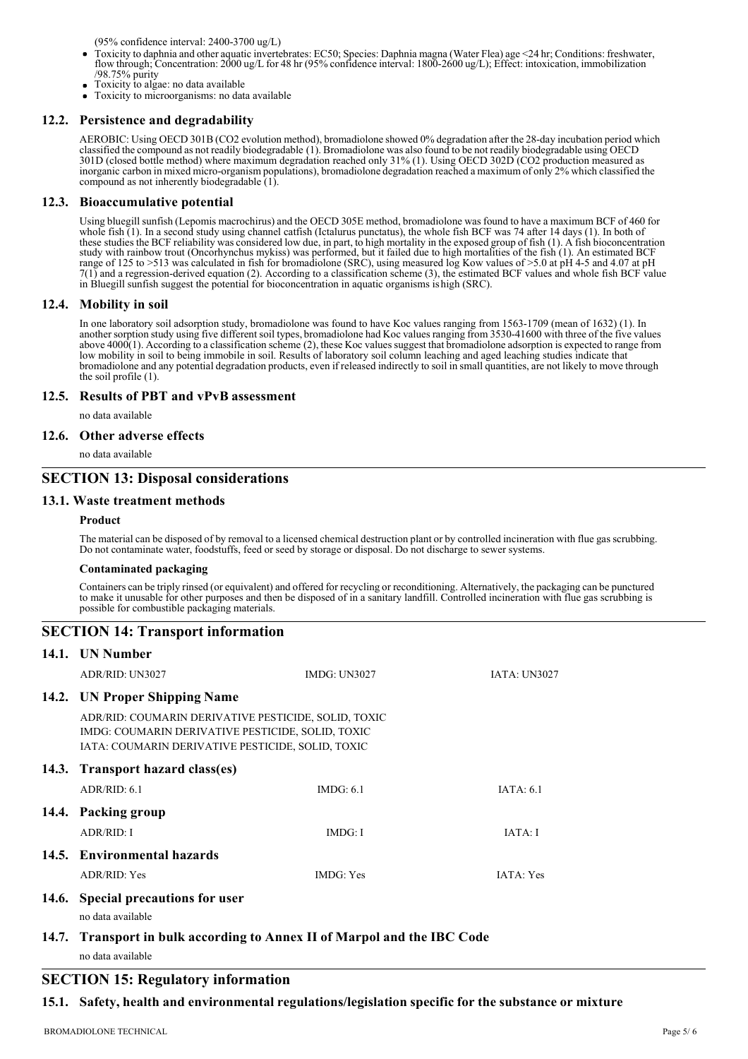(95% confidence interval: 2400-3700 ug/L)

- Toxicity to daphnia and other aquatic invertebrates: EC50; Species: Daphnia magna (Water Flea) age <24 hr; Conditions: freshwater, flow through; Concentration: 2000 ug/L for 48 hr (95% confidence interval: 1800-2600 ug/L); Effect: intoxication, immobilization /98.75% purity Toxicity to algae: no data available
- Toxicity to microorganisms: no data available

### **12.2. Persistence and degradability**

AEROBIC: Using OECD 301B (CO2 evolution method), bromadiolone showed 0% degradation after the 28-day incubation period which classified the compound as not readily biodegradable (1). Bromadiolone was also found to be not readily biodegradable using OECD 301D (closed bottle method) where maximum degradation reached only 31% (1). Using OECD 302D (CO2 production measured as inorganic carbon in mixed micro-organism populations), bromadiolone degradation reached a maximum of only 2% which classified the compound as not inherently biodegradable (1).

### **12.3. Bioaccumulative potential**

Using bluegill sunfish (Lepomis macrochirus) and the OECD 305E method, bromadiolone was found to have a maximum BCF of 460 for whole fish (1). In a second study using channel catfish (Ictalurus punctatus), the whole fish BCF was 74 after 14 days (1). In both of these studies the BCF reliability was considered low due, in part, to high mortality in the exposed group of fish (1). A fish bioconcentration study with rainbow trout (Oncorhynchus mykiss) was performed, but it failed due to high mortalities of the fish (1). An estimated BCF range of 125 to >513 was calculated in fish for bromadiolone (SRC), using measured log Kow values of >5.0 at pH 4-5 and 4.07 at pH 7(1) and a regression-derived equation (2). According to a classification scheme (3), the estimated BCF values and whole fish BCF value in Bluegill sunfish suggest the potential for bioconcentration in aquatic organisms ishigh (SRC).

### **12.4. Mobility in soil**

In one laboratory soil adsorption study, bromadiolone was found to have Koc values ranging from 1563-1709 (mean of 1632) (1). In another sorption study using five different soil types, bromadiolone had Koc values ranging from 3530-41600 with three of the five values above 4000(1). According to a classification scheme (2), these Koc values suggest that bromadiolone adsorption is expected to range from low mobility in soil to being immobile in soil. Results of laboratory soil column leaching and aged leaching studies indicate that bromadiolone and any potential degradation products, even if released indirectly to soil in small quantities, are not likely to move through the soil profile (1).

### **12.5. Results of PBT and vPvB assessment**

no data available

### **12.6. Other adverse effects**

no data available

# **SECTION 13: Disposal considerations**

### **13.1. Waste treatment methods**

### **Product**

The material can be disposed of by removal to a licensed chemical destruction plant or by controlled incineration with flue gas scrubbing. Do not contaminate water, foodstuffs, feed or seed by storage or disposal. Do not discharge to sewer systems.

### **Contaminated packaging**

Containers can be triply rinsed (or equivalent) and offered for recycling or reconditioning. Alternatively, the packaging can be punctured to make it unusable for other purposes and then be disposed of in a sanitary landfill. Controlled incineration with flue gas scrubbing is possible for combustible packaging materials.

| <b>SECTION 14: Transport information</b>                                                                                                                       |                                                                          |                     |  |
|----------------------------------------------------------------------------------------------------------------------------------------------------------------|--------------------------------------------------------------------------|---------------------|--|
| 14.1. UN Number                                                                                                                                                |                                                                          |                     |  |
| ADR/RID: UN3027                                                                                                                                                | <b>IMDG: UN3027</b>                                                      | <b>IATA: UN3027</b> |  |
| 14.2. UN Proper Shipping Name                                                                                                                                  |                                                                          |                     |  |
| ADR/RID: COUMARIN DERIVATIVE PESTICIDE, SOLID, TOXIC<br>IMDG: COUMARIN DERIVATIVE PESTICIDE, SOLID, TOXIC<br>IATA: COUMARIN DERIVATIVE PESTICIDE, SOLID, TOXIC |                                                                          |                     |  |
| 14.3. Transport hazard class(es)                                                                                                                               |                                                                          |                     |  |
| ADR/RID: 6.1                                                                                                                                                   | IMDG: $6.1$                                                              | IATA: 6.1           |  |
| 14.4. Packing group                                                                                                                                            |                                                                          |                     |  |
| ADR/RID: I                                                                                                                                                     | IMDG: I                                                                  | IATA: I             |  |
| 14.5. Environmental hazards                                                                                                                                    |                                                                          |                     |  |
| ADR/RID: Yes                                                                                                                                                   | <b>IMDG</b> : Yes                                                        | IATA: Yes           |  |
| 14.6. Special precautions for user<br>no data available                                                                                                        |                                                                          |                     |  |
| no data available                                                                                                                                              | 14.7. Transport in bulk according to Annex II of Marpol and the IBC Code |                     |  |
| $\cdot$ $\cdot$                                                                                                                                                | $\overline{\phantom{a}}$                                                 |                     |  |

# **SECTION 15: Regulatory information**

### **15.1. Safety, health and environmental regulations/legislation specific for the substance or mixture**